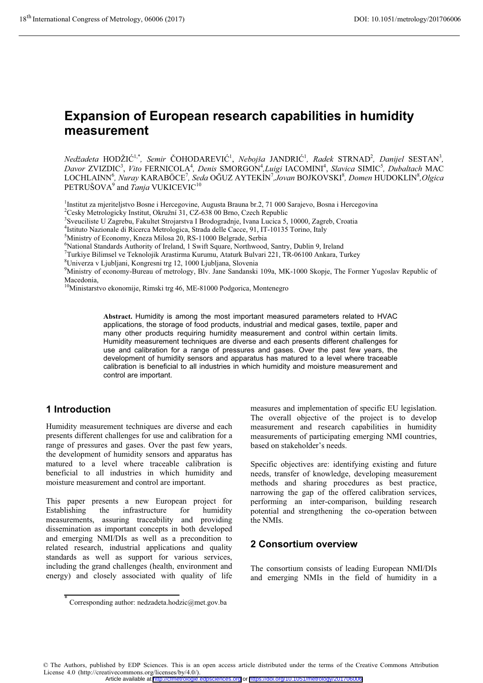# **Expansion of European research capabilities in humidity measurement**

*Nedžadeta* HODŽIĆ<sup>1,\*</sup>, *Semir* ČOHODAREVIĆ<sup>1</sup>, *Nebojša* JANDRIĆ<sup>1</sup>, *Radek* STRNAD<sup>2</sup>, *Danijel* SESTAN<sup>3</sup>, Davor ZVIZDIC<sup>3</sup>, Vito FERNICOLA<sup>4</sup>, Denis SMORGON<sup>4</sup>, Luigi IACOMINI<sup>4</sup>, Slavica SIMIC<sup>5</sup>, Dubaltach MAC  $\rm LOCHLAINN^6$ , *Nuray* KARABÖCE<sup>7</sup>, *Seda* OĞUZ AYTEKİN<sup>7</sup>,Jovan BOJKOVSKI $^8$ , Domen HUDOKLIN $^8$ ,Olgica PETRUŠOVA<sup>9</sup> and *Tanja* VUKICEVIC<sup>10</sup>

<sup>1</sup>Institut za mjeriteljstvo Bosne i Hercegovine, Augusta Brauna br.2, 71 000 Sarajevo, Bosna i Hercegovina <sup>2</sup>Cesky Metrologicky Institut, Okružní 31, CZ-638 00 Brno, Czech Republic

3 Sveuciliste U Zagrebu, Fakultet Strojarstva I Brodogradnje, Ivana Lucica 5, 10000, Zagreb, Croatia

<sup>4</sup>Istituto Nazionale di Ricerca Metrologica, Strada delle Cacce, 91, IT-10135 Torino, Italy<br><sup>5</sup>Ministry of Economy, Knoza Miloso 20, B.S. 11000 Bolgrado, Serbia

<sup>5</sup>Ministry of Economy, Kneza Milosa 20, RS-11000 Belgrade, Serbia

6 National Standards Authority of Ireland, 1 Swift Square, Northwood, Santry, Dublin 9, Ireland

7 Turkiye Bilimsel ve Teknolojik Arastirma Kurumu, Ataturk Bulvari 221, TR-06100 Ankara, Turkey

8 Univerza v Ljubljani, Kongresni trg 12, 1000 Ljubljana, Slovenia

9 Ministry of economy-Bureau of metrology, Blv. Jane Sandanski 109a, MK-1000 Skopje, The Former Yugoslav Republic of Macedonia,

10Ministarstvo ekonomije, Rimski trg 46, ME-81000 Podgorica, Montenegro

**Abstract.** Humidity is among the most important measured parameters related to HVAC applications, the storage of food products, industrial and medical gases, textile, paper and many other products requiring humidity measurement and control within certain limits. Humidity measurement techniques are diverse and each presents different challenges for use and calibration for a range of pressures and gases. Over the past few years, the development of humidity sensors and apparatus has matured to a level where traceable calibration is beneficial to all industries in which humidity and moisture measurement and control are important.

## **1 Introduction**

Humidity measurement techniques are diverse and each presents different challenges for use and calibration for a range of pressures and gases. Over the past few years, the development of humidity sensors and apparatus has matured to a level where traceable calibration is beneficial to all industries in which humidity and moisture measurement and control are important.

This paper presents a new European project for Establishing the infrastructure for humidity measurements, assuring traceability and providing dissemination as important concepts in both developed and emerging NMI/DIs as well as a precondition to related research, industrial applications and quality standards as well as support for various services, including the grand challenges (health, environment and energy) and closely associated with quality of life

measures and implementation of specific EU legislation. The overall objective of the project is to develop measurement and research capabilities in humidity measurements of participating emerging NMI countries, based on stakeholder's needs.

Specific objectives are: identifying existing and future needs, transfer of knowledge, developing measurement methods and sharing procedures as best practice, narrowing the gap of the offered calibration services, performing an inter-comparison, building research potential and strengthening the co-operation between the NMIs.

## **2 Consortium overview**

The consortium consists of leading European NMI/DIs and emerging NMIs in the field of humidity in a

© The Authors, published by EDP Sciences. This is an open access article distributed under the terms of the Creative Commons Attribution License 4.0 (http://creativecommons.org/licenses/by/4.0/). Article available at <http://cfmetrologie.edpsciences.org> or <https://doi.org/10.1051/metrology/201706006>

<sup>\*</sup> Corresponding author: nedzadeta.hodzic@met.gov.ba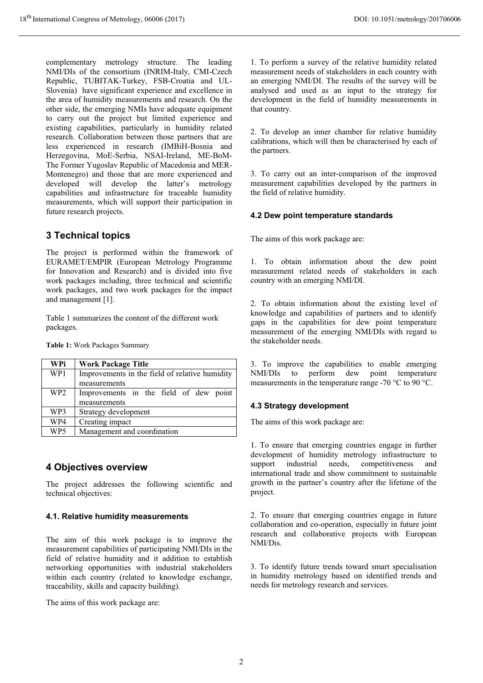complementary metrology structure. The leading NMI/DIs of the consortium (INRIM-Italy, CMI-Czech Republic, TUBITAK-Turkey, FSB-Croatia and UL-Slovenia) have significant experience and excellence in the area of humidity measurements and research. On the other side, the emerging NMIs have adequate equipment to carry out the project but limited experience and existing capabilities, particularly in humidity related research. Collaboration between those partners that are less experienced in research (IMBiH-Bosnia and Herzegovina, MoE-Serbia, NSAI-Ireland, ME-BoM-The Former Yugoslav Republic of Macedonia and MER-Montenegro) and those that are more experienced and developed will develop the latter's metrology capabilities and infrastructure for traceable humidity measurements, which will support their participation in future research projects.

## **3 Technical topics**

The project is performed within the framework of EURAMET/EMPIR (European Metrology Programme for Innovation and Research) and is divided into five work packages including, three technical and scientific work packages, and two work packages for the impact and management [1].

Table 1 summarizes the content of the different work packages.

**Table 1:** Work Packages Summary

| WPi             | <b>Work Package Title</b>                      |
|-----------------|------------------------------------------------|
| WP1             | Improvements in the field of relative humidity |
|                 | measurements                                   |
| WP <sub>2</sub> | Improvements in the field of dew point         |
|                 | measurements                                   |
| WP3             | Strategy development                           |
| WP4             | Creating impact                                |
| WP5             | Management and coordination                    |

## **4 Objectives overview**

The project addresses the following scientific and technical objectives:

#### **4.1. Relative humidity measurements**

The aim of this work package is to improve the measurement capabilities of participating NMI/DIs in the field of relative humidity and it addition to establish networking opportunities with industrial stakeholders within each country (related to knowledge exchange, traceability, skills and capacity building).

The aims of this work package are:

1. To perform a survey of the relative humidity related measurement needs of stakeholders in each country with an emerging NMI/DI. The results of the survey will be analysed and used as an input to the strategy for development in the field of humidity measurements in that country.

2. To develop an inner chamber for relative humidity calibrations, which will then be characterised by each of the partners.

3. To carry out an inter-comparison of the improved measurement capabilities developed by the partners in the field of relative humidity.

#### **4.2 Dew point temperature standards**

The aims of this work package are:

1. To obtain information about the dew point measurement related needs of stakeholders in each country with an emerging NMI/DI.

2. To obtain information about the existing level of knowledge and capabilities of partners and to identify gaps in the capabilities for dew point temperature measurement of the emerging NMI/DIs with regard to the stakeholder needs.

3. To improve the capabilities to enable emerging NMI/DIs to perform dew point temperature measurements in the temperature range -70 °C to 90 °C.

#### **4.3 Strategy development**

The aims of this work package are:

1. To ensure that emerging countries engage in further development of humidity metrology infrastructure to support industrial needs, competitiveness and international trade and show commitment to sustainable growth in the partner's country after the lifetime of the project.

2. To ensure that emerging countries engage in future collaboration and co-operation, especially in future joint research and collaborative projects with European NMI/Dis.

3. To identify future trends toward smart specialisation in humidity metrology based on identified trends and needs for metrology research and services.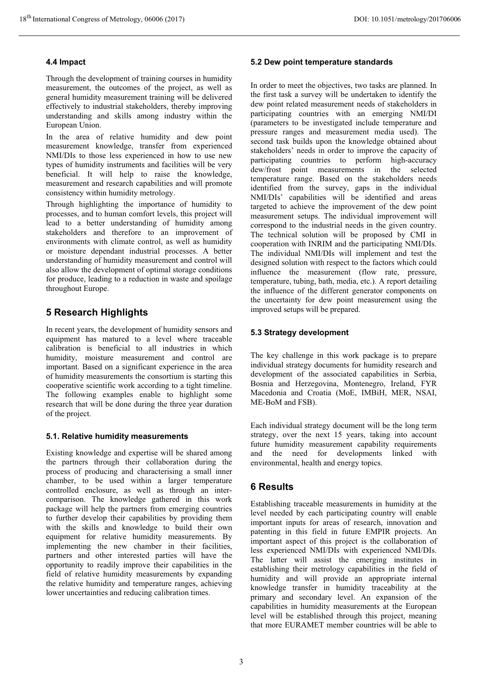#### **4.4 Impact**

Through the development of training courses in humidity measurement, the outcomes of the project, as well as general humidity measurement training will be delivered effectively to industrial stakeholders, thereby improving understanding and skills among industry within the European Union.

In the area of relative humidity and dew point measurement knowledge, transfer from experienced NMI/DIs to those less experienced in how to use new types of humidity instruments and facilities will be very beneficial. It will help to raise the knowledge, measurement and research capabilities and will promote consistency within humidity metrology.

Through highlighting the importance of humidity to processes, and to human comfort levels, this project will lead to a better understanding of humidity among stakeholders and therefore to an improvement of environments with climate control, as well as humidity or moisture dependant industrial processes. A better understanding of humidity measurement and control will also allow the development of optimal storage conditions for produce, leading to a reduction in waste and spoilage throughout Europe.

# **5 Research Highlights**

In recent years, the development of humidity sensors and equipment has matured to a level where traceable calibration is beneficial to all industries in which humidity, moisture measurement and control are important. Based on a significant experience in the area of humidity measurements the consortium is starting this cooperative scientific work according to a tight timeline. The following examples enable to highlight some research that will be done during the three year duration of the project.

#### **5.1. Relative humidity measurements**

Existing knowledge and expertise will be shared among the partners through their collaboration during the process of producing and characterising a small inner chamber, to be used within a larger temperature controlled enclosure, as well as through an intercomparison. The knowledge gathered in this work package will help the partners from emerging countries to further develop their capabilities by providing them with the skills and knowledge to build their own equipment for relative humidity measurements. By implementing the new chamber in their facilities, partners and other interested parties will have the opportunity to readily improve their capabilities in the field of relative humidity measurements by expanding the relative humidity and temperature ranges, achieving lower uncertainties and reducing calibration times.

#### **5.2 Dew point temperature standards**

In order to meet the objectives, two tasks are planned. In the first task a survey will be undertaken to identify the dew point related measurement needs of stakeholders in participating countries with an emerging NMI/DI (parameters to be investigated include temperature and pressure ranges and measurement media used). The second task builds upon the knowledge obtained about stakeholders' needs in order to improve the capacity of participating countries to perform high-accuracy dew/frost point measurements in the selected temperature range. Based on the stakeholders needs identified from the survey, gaps in the individual NMI/DIs' capabilities will be identified and areas targeted to achieve the improvement of the dew point measurement setups. The individual improvement will correspond to the industrial needs in the given country. The technical solution will be proposed by CMI in cooperation with INRIM and the participating NMI/DIs. The individual NMI/DIs will implement and test the designed solution with respect to the factors which could influence the measurement (flow rate, pressure, temperature, tubing, bath, media, etc.). A report detailing the influence of the different generator components on the uncertainty for dew point measurement using the improved setups will be prepared.

#### **5.3 Strategy development**

The key challenge in this work package is to prepare individual strategy documents for humidity research and development of the associated capabilities in Serbia, Bosnia and Herzegovina, Montenegro, Ireland, FYR Macedonia and Croatia (MoE, IMBiH, MER, NSAI, ME-BoM and FSB).

Each individual strategy document will be the long term strategy, over the next 15 years, taking into account future humidity measurement capability requirements and the need for developments linked with environmental, health and energy topics.

## **6 Results**

Establishing traceable measurements in humidity at the level needed by each participating country will enable important inputs for areas of research, innovation and patenting in this field in future EMPIR projects. An important aspect of this project is the collaboration of less experienced NMI/DIs with experienced NMI/DIs. The latter will assist the emerging institutes in establishing their metrology capabilities in the field of humidity and will provide an appropriate internal knowledge transfer in humidity traceability at the primary and secondary level. An expansion of the capabilities in humidity measurements at the European level will be established through this project, meaning that more EURAMET member countries will be able to